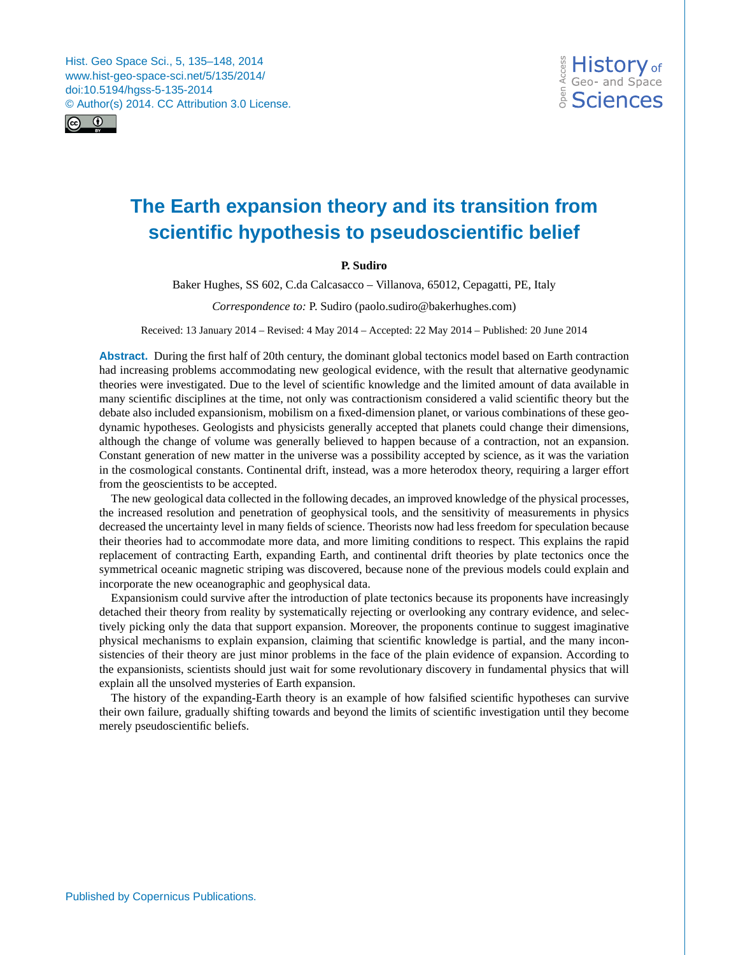<span id="page-0-0"></span>Hist. Geo Space Sci., 5, 135–148, 2014 www.hist-geo-space-sci.net/5/135/2014/ doi:10.5194/hgss-5-135-2014 © Author(s) 2014. CC Attribution 3.0 License.



# **The Earth expansion theory and its transition from scientific hypothesis to pseudoscientific belief**

# **P. Sudiro**

Baker Hughes, SS 602, C.da Calcasacco – Villanova, 65012, Cepagatti, PE, Italy

*Correspondence to:* P. Sudiro (paolo.sudiro@bakerhughes.com)

Received: 13 January 2014 – Revised: 4 May 2014 – Accepted: 22 May 2014 – Published: 20 June 2014

**Abstract.** During the first half of 20th century, the dominant global tectonics model based on Earth contraction had increasing problems accommodating new geological evidence, with the result that alternative geodynamic theories were investigated. Due to the level of scientific knowledge and the limited amount of data available in many scientific disciplines at the time, not only was contractionism considered a valid scientific theory but the debate also included expansionism, mobilism on a fixed-dimension planet, or various combinations of these geodynamic hypotheses. Geologists and physicists generally accepted that planets could change their dimensions, although the change of volume was generally believed to happen because of a contraction, not an expansion. Constant generation of new matter in the universe was a possibility accepted by science, as it was the variation in the cosmological constants. Continental drift, instead, was a more heterodox theory, requiring a larger effort from the geoscientists to be accepted.

The new geological data collected in the following decades, an improved knowledge of the physical processes, the increased resolution and penetration of geophysical tools, and the sensitivity of measurements in physics decreased the uncertainty level in many fields of science. Theorists now had less freedom for speculation because their theories had to accommodate more data, and more limiting conditions to respect. This explains the rapid replacement of contracting Earth, expanding Earth, and continental drift theories by plate tectonics once the symmetrical oceanic magnetic striping was discovered, because none of the previous models could explain and incorporate the new oceanographic and geophysical data.

Expansionism could survive after the introduction of plate tectonics because its proponents have increasingly detached their theory from reality by systematically rejecting or overlooking any contrary evidence, and selectively picking only the data that support expansion. Moreover, the proponents continue to suggest imaginative physical mechanisms to explain expansion, claiming that scientific knowledge is partial, and the many inconsistencies of their theory are just minor problems in the face of the plain evidence of expansion. According to the expansionists, scientists should just wait for some revolutionary discovery in fundamental physics that will explain all the unsolved mysteries of Earth expansion.

The history of the expanding-Earth theory is an example of how falsified scientific hypotheses can survive their own failure, gradually shifting towards and beyond the limits of scientific investigation until they become merely pseudoscientific beliefs.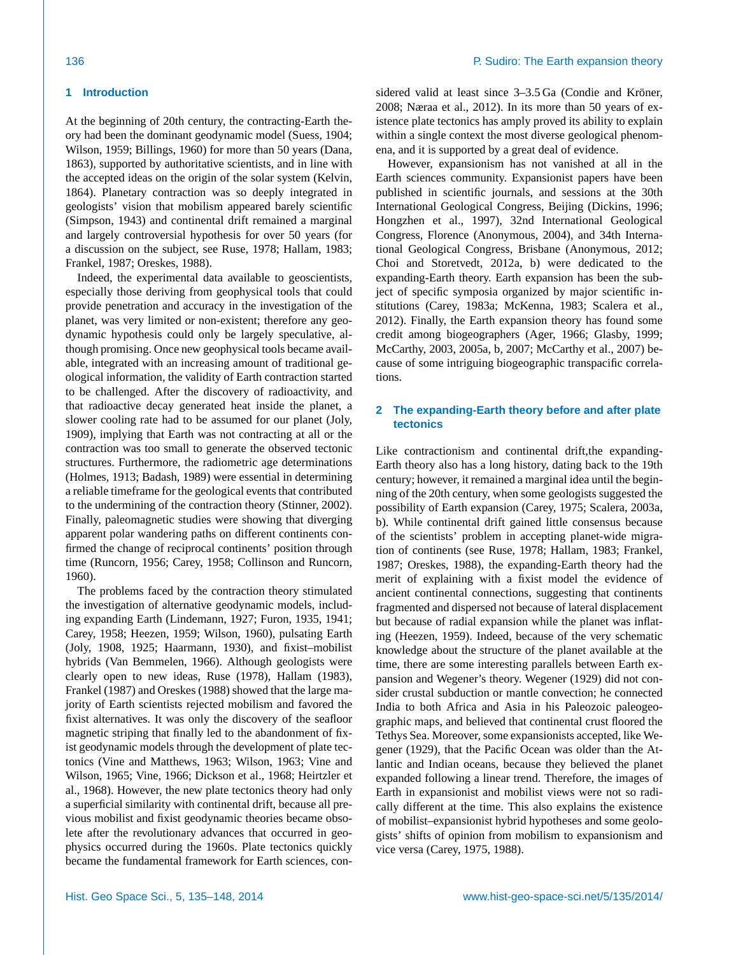# **1 Introduction**

At the beginning of 20th century, the contracting-Earth theory had been the dominant geodynamic model (Suess, 1904; Wilson, 1959; Billings, 1960) for more than 50 years (Dana, 1863), supported by authoritative scientists, and in line with the accepted ideas on the origin of the solar system (Kelvin, 1864). Planetary contraction was so deeply integrated in geologists' vision that mobilism appeared barely scientific (Simpson, 1943) and continental drift remained a marginal and largely controversial hypothesis for over 50 years (for a discussion on the subject, see Ruse, 1978; Hallam, 1983; Frankel, 1987; Oreskes, 1988).

Indeed, the experimental data available to geoscientists, especially those deriving from geophysical tools that could provide penetration and accuracy in the investigation of the planet, was very limited or non-existent; therefore any geodynamic hypothesis could only be largely speculative, although promising. Once new geophysical tools became available, integrated with an increasing amount of traditional geological information, the validity of Earth contraction started to be challenged. After the discovery of radioactivity, and that radioactive decay generated heat inside the planet, a slower cooling rate had to be assumed for our planet (Joly, 1909), implying that Earth was not contracting at all or the contraction was too small to generate the observed tectonic structures. Furthermore, the radiometric age determinations (Holmes, 1913; Badash, 1989) were essential in determining a reliable timeframe for the geological events that contributed to the undermining of the contraction theory (Stinner, 2002). Finally, paleomagnetic studies were showing that diverging apparent polar wandering paths on different continents confirmed the change of reciprocal continents' position through time (Runcorn, 1956; Carey, 1958; Collinson and Runcorn, 1960).

The problems faced by the contraction theory stimulated the investigation of alternative geodynamic models, including expanding Earth (Lindemann, 1927; Furon, 1935, 1941; Carey, 1958; Heezen, 1959; Wilson, 1960), pulsating Earth (Joly, 1908, 1925; Haarmann, 1930), and fixist–mobilist hybrids (Van Bemmelen, 1966). Although geologists were clearly open to new ideas, Ruse (1978), Hallam (1983), Frankel (1987) and Oreskes (1988) showed that the large majority of Earth scientists rejected mobilism and favored the fixist alternatives. It was only the discovery of the seafloor magnetic striping that finally led to the abandonment of fixist geodynamic models through the development of plate tectonics (Vine and Matthews, 1963; Wilson, 1963; Vine and Wilson, 1965; Vine, 1966; Dickson et al., 1968; Heirtzler et al., 1968). However, the new plate tectonics theory had only a superficial similarity with continental drift, because all previous mobilist and fixist geodynamic theories became obsolete after the revolutionary advances that occurred in geophysics occurred during the 1960s. Plate tectonics quickly became the fundamental framework for Earth sciences, considered valid at least since 3–3.5 Ga (Condie and Kröner, 2008; Næraa et al., 2012). In its more than 50 years of existence plate tectonics has amply proved its ability to explain within a single context the most diverse geological phenomena, and it is supported by a great deal of evidence.

However, expansionism has not vanished at all in the Earth sciences community. Expansionist papers have been published in scientific journals, and sessions at the 30th International Geological Congress, Beijing (Dickins, 1996; Hongzhen et al., 1997), 32nd International Geological Congress, Florence (Anonymous, 2004), and 34th International Geological Congress, Brisbane (Anonymous, 2012; Choi and Storetvedt, 2012a, b) were dedicated to the expanding-Earth theory. Earth expansion has been the subject of specific symposia organized by major scientific institutions (Carey, 1983a; McKenna, 1983; Scalera et al., 2012). Finally, the Earth expansion theory has found some credit among biogeographers (Ager, 1966; Glasby, 1999; McCarthy, 2003, 2005a, b, 2007; McCarthy et al., 2007) because of some intriguing biogeographic transpacific correlations.

# **2 The expanding-Earth theory before and after plate tectonics**

Like contractionism and continental drift, the expanding-Earth theory also has a long history, dating back to the 19th century; however, it remained a marginal idea until the beginning of the 20th century, when some geologists suggested the possibility of Earth expansion (Carey, 1975; Scalera, 2003a, b). While continental drift gained little consensus because of the scientists' problem in accepting planet-wide migration of continents (see Ruse, 1978; Hallam, 1983; Frankel, 1987; Oreskes, 1988), the expanding-Earth theory had the merit of explaining with a fixist model the evidence of ancient continental connections, suggesting that continents fragmented and dispersed not because of lateral displacement but because of radial expansion while the planet was inflating (Heezen, 1959). Indeed, because of the very schematic knowledge about the structure of the planet available at the time, there are some interesting parallels between Earth expansion and Wegener's theory. Wegener (1929) did not consider crustal subduction or mantle convection; he connected India to both Africa and Asia in his Paleozoic paleogeographic maps, and believed that continental crust floored the Tethys Sea. Moreover, some expansionists accepted, like Wegener (1929), that the Pacific Ocean was older than the Atlantic and Indian oceans, because they believed the planet expanded following a linear trend. Therefore, the images of Earth in expansionist and mobilist views were not so radically different at the time. This also explains the existence of mobilist–expansionist hybrid hypotheses and some geologists' shifts of opinion from mobilism to expansionism and vice versa (Carey, 1975, 1988).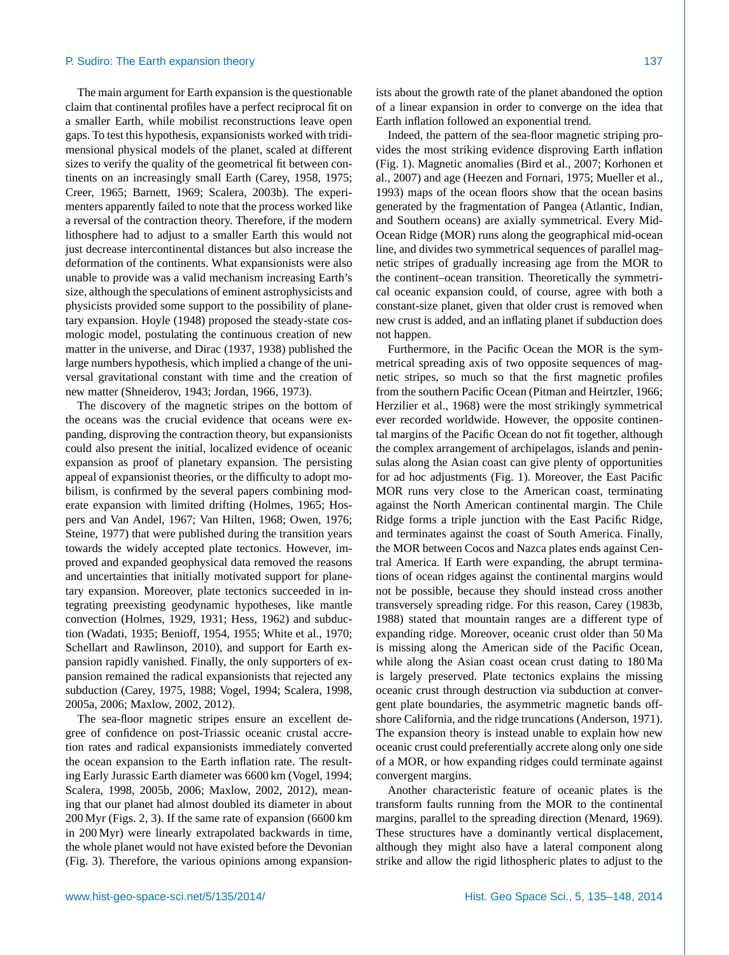The main argument for Earth expansion is the questionable claim that continental profiles have a perfect reciprocal fit on a smaller Earth, while mobilist reconstructions leave open gaps. To test this hypothesis, expansionists worked with tridimensional physical models of the planet, scaled at different sizes to verify the quality of the geometrical fit between continents on an increasingly small Earth (Carey, 1958, 1975; Creer, 1965; Barnett, 1969; Scalera, 2003b). The experimenters apparently failed to note that the process worked like a reversal of the contraction theory. Therefore, if the modern lithosphere had to adjust to a smaller Earth this would not just decrease intercontinental distances but also increase the deformation of the continents. What expansionists were also unable to provide was a valid mechanism increasing Earth's size, although the speculations of eminent astrophysicists and physicists provided some support to the possibility of planetary expansion. Hoyle (1948) proposed the steady-state cosmologic model, postulating the continuous creation of new matter in the universe, and Dirac (1937, 1938) published the large numbers hypothesis, which implied a change of the universal gravitational constant with time and the creation of new matter (Shneiderov, 1943; Jordan, 1966, 1973).

The discovery of the magnetic stripes on the bottom of the oceans was the crucial evidence that oceans were expanding, disproving the contraction theory, but expansionists could also present the initial, localized evidence of oceanic expansion as proof of planetary expansion. The persisting appeal of expansionist theories, or the difficulty to adopt mobilism, is confirmed by the several papers combining moderate expansion with limited drifting (Holmes, 1965; Hospers and Van Andel, 1967; Van Hilten, 1968; Owen, 1976; Steine, 1977) that were published during the transition years towards the widely accepted plate tectonics. However, improved and expanded geophysical data removed the reasons and uncertainties that initially motivated support for planetary expansion. Moreover, plate tectonics succeeded in integrating preexisting geodynamic hypotheses, like mantle convection (Holmes, 1929, 1931; Hess, 1962) and subduction (Wadati, 1935; Benioff, 1954, 1955; White et al., 1970; Schellart and Rawlinson, 2010), and support for Earth expansion rapidly vanished. Finally, the only supporters of expansion remained the radical expansionists that rejected any subduction (Carey, 1975, 1988; Vogel, 1994; Scalera, 1998, 2005a, 2006; Maxlow, 2002, 2012).

The sea-floor magnetic stripes ensure an excellent degree of confidence on post-Triassic oceanic crustal accretion rates and radical expansionists immediately converted the ocean expansion to the Earth inflation rate. The resulting Early Jurassic Earth diameter was 6600 km (Vogel, 1994; Scalera, 1998, 2005b, 2006; Maxlow, 2002, 2012), meaning that our planet had almost doubled its diameter in about 200 Myr (Figs. 2, 3). If the same rate of expansion (6600 km in 200 Myr) were linearly extrapolated backwards in time, the whole planet would not have existed before the Devonian (Fig. 3). Therefore, the various opinions among expansion-

Indeed, the pattern of the sea-floor magnetic striping provides the most striking evidence disproving Earth inflation (Fig. 1). Magnetic anomalies (Bird et al., 2007; Korhonen et al., 2007) and age (Heezen and Fornari, 1975; Mueller et al., 1993) maps of the ocean floors show that the ocean basins generated by the fragmentation of Pangea (Atlantic, Indian, and Southern oceans) are axially symmetrical. Every Mid-Ocean Ridge (MOR) runs along the geographical mid-ocean line, and divides two symmetrical sequences of parallel magnetic stripes of gradually increasing age from the MOR to the continent–ocean transition. Theoretically the symmetrical oceanic expansion could, of course, agree with both a constant-size planet, given that older crust is removed when new crust is added, and an inflating planet if subduction does not happen.

Furthermore, in the Pacific Ocean the MOR is the symmetrical spreading axis of two opposite sequences of magnetic stripes, so much so that the first magnetic profiles from the southern Pacific Ocean (Pitman and Heirtzler, 1966; Herzilier et al., 1968) were the most strikingly symmetrical ever recorded worldwide. However, the opposite continental margins of the Pacific Ocean do not fit together, although the complex arrangement of archipelagos, islands and peninsulas along the Asian coast can give plenty of opportunities for ad hoc adjustments (Fig. 1). Moreover, the East Pacific MOR runs very close to the American coast, terminating against the North American continental margin. The Chile Ridge forms a triple junction with the East Pacific Ridge, and terminates against the coast of South America. Finally, the MOR between Cocos and Nazca plates ends against Central America. If Earth were expanding, the abrupt terminations of ocean ridges against the continental margins would not be possible, because they should instead cross another transversely spreading ridge. For this reason, Carey (1983b, 1988) stated that mountain ranges are a different type of expanding ridge. Moreover, oceanic crust older than 50 Ma is missing along the American side of the Pacific Ocean, while along the Asian coast ocean crust dating to 180 Ma is largely preserved. Plate tectonics explains the missing oceanic crust through destruction via subduction at convergent plate boundaries, the asymmetric magnetic bands offshore California, and the ridge truncations (Anderson, 1971). The expansion theory is instead unable to explain how new oceanic crust could preferentially accrete along only one side of a MOR, or how expanding ridges could terminate against convergent margins.

Another characteristic feature of oceanic plates is the transform faults running from the MOR to the continental margins, parallel to the spreading direction (Menard, 1969). These structures have a dominantly vertical displacement, although they might also have a lateral component along strike and allow the rigid lithospheric plates to adjust to the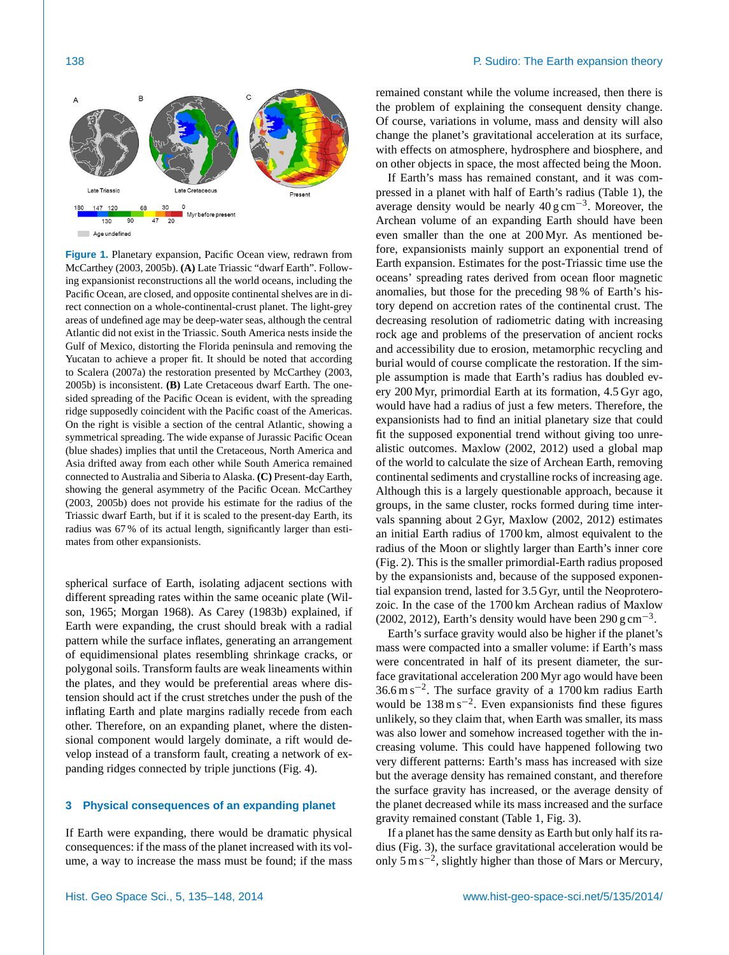

**Figure 1.** Planetary expansion, Pacific Ocean view, redrawn from McCarthey (2003, 2005b). **(A)** Late Triassic "dwarf Earth". Following expansionist reconstructions all the world oceans, including the Pacific Ocean, are closed, and opposite continental shelves are in direct connection on a whole-continental-crust planet. The light-grey areas of undefined age may be deep-water seas, although the central Atlantic did not exist in the Triassic. South America nests inside the Gulf of Mexico, distorting the Florida peninsula and removing the Yucatan to achieve a proper fit. It should be noted that according to Scalera (2007a) the restoration presented by McCarthey (2003, 2005b) is inconsistent. **(B)** Late Cretaceous dwarf Earth. The onesided spreading of the Pacific Ocean is evident, with the spreading ridge supposedly coincident with the Pacific coast of the Americas. On the right is visible a section of the central Atlantic, showing a symmetrical spreading. The wide expanse of Jurassic Pacific Ocean (blue shades) implies that until the Cretaceous, North America and Asia drifted away from each other while South America remained connected to Australia and Siberia to Alaska. **(C)** Present-day Earth, showing the general asymmetry of the Pacific Ocean. McCarthey (2003, 2005b) does not provide his estimate for the radius of the Triassic dwarf Earth, but if it is scaled to the present-day Earth, its radius was 67 % of its actual length, significantly larger than estimates from other expansionists.

spherical surface of Earth, isolating adjacent sections with different spreading rates within the same oceanic plate (Wilson, 1965; Morgan 1968). As Carey (1983b) explained, if Earth were expanding, the crust should break with a radial pattern while the surface inflates, generating an arrangement of equidimensional plates resembling shrinkage cracks, or polygonal soils. Transform faults are weak lineaments within the plates, and they would be preferential areas where distension should act if the crust stretches under the push of the inflating Earth and plate margins radially recede from each other. Therefore, on an expanding planet, where the distensional component would largely dominate, a rift would develop instead of a transform fault, creating a network of expanding ridges connected by triple junctions (Fig. 4).

# **3 Physical consequences of an expanding planet**

If Earth were expanding, there would be dramatic physical consequences: if the mass of the planet increased with its volume, a way to increase the mass must be found; if the mass remained constant while the volume increased, then there is the problem of explaining the consequent density change. Of course, variations in volume, mass and density will also change the planet's gravitational acceleration at its surface, with effects on atmosphere, hydrosphere and biosphere, and on other objects in space, the most affected being the Moon.

If Earth's mass has remained constant, and it was compressed in a planet with half of Earth's radius (Table 1), the average density would be nearly  $40 \text{ g cm}^{-3}$ . Moreover, the Archean volume of an expanding Earth should have been even smaller than the one at 200 Myr. As mentioned before, expansionists mainly support an exponential trend of Earth expansion. Estimates for the post-Triassic time use the oceans' spreading rates derived from ocean floor magnetic anomalies, but those for the preceding 98 % of Earth's history depend on accretion rates of the continental crust. The decreasing resolution of radiometric dating with increasing rock age and problems of the preservation of ancient rocks and accessibility due to erosion, metamorphic recycling and burial would of course complicate the restoration. If the simple assumption is made that Earth's radius has doubled every 200 Myr, primordial Earth at its formation, 4.5 Gyr ago, would have had a radius of just a few meters. Therefore, the expansionists had to find an initial planetary size that could fit the supposed exponential trend without giving too unrealistic outcomes. Maxlow (2002, 2012) used a global map of the world to calculate the size of Archean Earth, removing continental sediments and crystalline rocks of increasing age. Although this is a largely questionable approach, because it groups, in the same cluster, rocks formed during time intervals spanning about 2 Gyr, Maxlow (2002, 2012) estimates an initial Earth radius of 1700 km, almost equivalent to the radius of the Moon or slightly larger than Earth's inner core (Fig. 2). This is the smaller primordial-Earth radius proposed by the expansionists and, because of the supposed exponential expansion trend, lasted for 3.5 Gyr, until the Neoproterozoic. In the case of the 1700 km Archean radius of Maxlow (2002, 2012), Earth's density would have been  $290 \text{ g cm}^{-3}$ .

Earth's surface gravity would also be higher if the planet's mass were compacted into a smaller volume: if Earth's mass were concentrated in half of its present diameter, the surface gravitational acceleration 200 Myr ago would have been 36.6 m s−<sup>2</sup> . The surface gravity of a 1700 km radius Earth would be 138 m s<sup>-2</sup>. Even expansionists find these figures unlikely, so they claim that, when Earth was smaller, its mass was also lower and somehow increased together with the increasing volume. This could have happened following two very different patterns: Earth's mass has increased with size but the average density has remained constant, and therefore the surface gravity has increased, or the average density of the planet decreased while its mass increased and the surface gravity remained constant (Table 1, Fig. 3).

If a planet has the same density as Earth but only half its radius (Fig. 3), the surface gravitational acceleration would be only 5 m s−<sup>2</sup> , slightly higher than those of Mars or Mercury,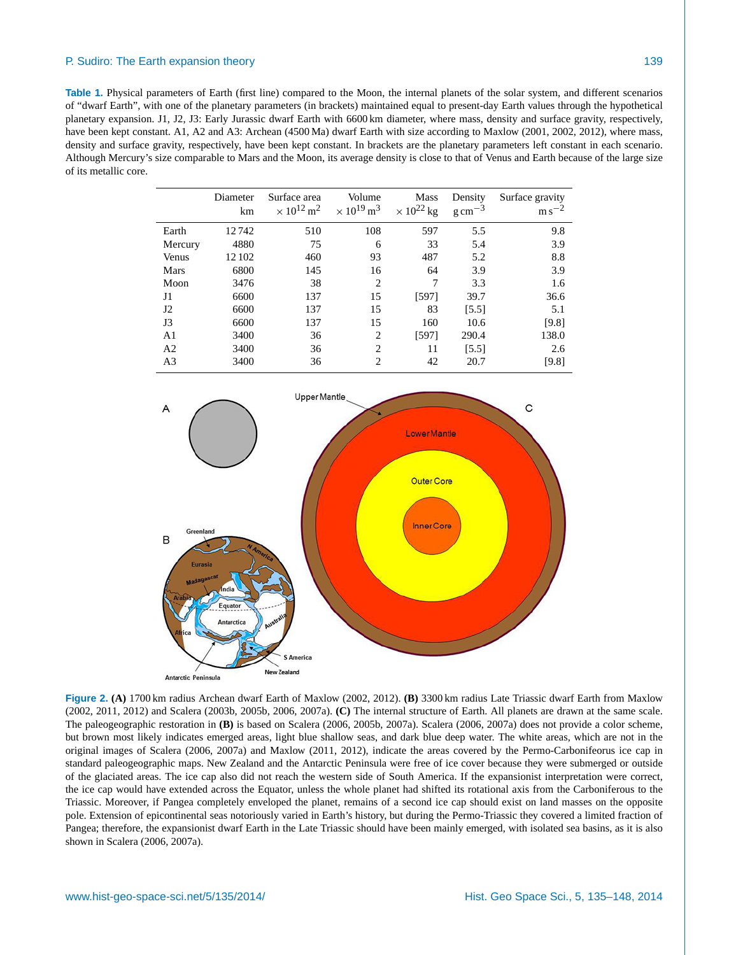**Table 1.** Physical parameters of Earth (first line) compared to the Moon, the internal planets of the solar system, and different scenarios of "dwarf Earth", with one of the planetary parameters (in brackets) maintained equal to present-day Earth values through the hypothetical planetary expansion. J1, J2, J3: Early Jurassic dwarf Earth with 6600 km diameter, where mass, density and surface gravity, respectively, have been kept constant. A1, A2 and A3: Archean (4500 Ma) dwarf Earth with size according to Maxlow (2001, 2002, 2012), where mass, density and surface gravity, respectively, have been kept constant. In brackets are the planetary parameters left constant in each scenario. Although Mercury's size comparable to Mars and the Moon, its average density is close to that of Venus and Earth because of the large size of its metallic core.

|                | Diameter<br>km | Surface area<br>$\times 10^{12} \,\mathrm{m}^2$ | Volume<br>$\times 10^{19} \,\mathrm{m}^3$ | <b>Mass</b><br>$\times 10^{22}$ kg | Density<br>$g \text{ cm}^{-3}$ | Surface gravity<br>$\mathrm{m}\,\mathrm{s}^{-2}$ |
|----------------|----------------|-------------------------------------------------|-------------------------------------------|------------------------------------|--------------------------------|--------------------------------------------------|
| Earth          | 12742          | 510                                             | 108                                       | 597                                | 5.5                            | 9.8                                              |
| Mercury        | 4880           | 75                                              | 6                                         | 33                                 | 5.4                            | 3.9                                              |
| Venus          | 12 102         | 460                                             | 93                                        | 487                                | 5.2                            | 8.8                                              |
| <b>Mars</b>    | 6800           | 145                                             | 16                                        | 64                                 | 3.9                            | 3.9                                              |
| Moon           | 3476           | 38                                              | $\overline{c}$                            | 7                                  | 3.3                            | 1.6                                              |
| J1             | 6600           | 137                                             | 15                                        | [597]                              | 39.7                           | 36.6                                             |
| J2             | 6600           | 137                                             | 15                                        | 83                                 | [5.5]                          | 5.1                                              |
| J3             | 6600           | 137                                             | 15                                        | 160                                | 10.6                           | [9.8]                                            |
| A <sub>1</sub> | 3400           | 36                                              | $\overline{c}$                            | [597]                              | 290.4                          | 138.0                                            |
| A <sub>2</sub> | 3400           | 36                                              | $\overline{c}$                            | 11                                 | [5.5]                          | 2.6                                              |
| A <sub>3</sub> | 3400           | 36                                              | 2                                         | 42                                 | 20.7                           | [9.8]                                            |



**Figure 2. (A)** 1700 km radius Archean dwarf Earth of Maxlow (2002, 2012). **(B)** 3300 km radius Late Triassic dwarf Earth from Maxlow (2002, 2011, 2012) and Scalera (2003b, 2005b, 2006, 2007a). **(C)** The internal structure of Earth. All planets are drawn at the same scale. The paleogeographic restoration in **(B)** is based on Scalera (2006, 2005b, 2007a). Scalera (2006, 2007a) does not provide a color scheme, but brown most likely indicates emerged areas, light blue shallow seas, and dark blue deep water. The white areas, which are not in the original images of Scalera (2006, 2007a) and Maxlow (2011, 2012), indicate the areas covered by the Permo-Carbonifeorus ice cap in standard paleogeographic maps. New Zealand and the Antarctic Peninsula were free of ice cover because they were submerged or outside of the glaciated areas. The ice cap also did not reach the western side of South America. If the expansionist interpretation were correct, the ice cap would have extended across the Equator, unless the whole planet had shifted its rotational axis from the Carboniferous to the Triassic. Moreover, if Pangea completely enveloped the planet, remains of a second ice cap should exist on land masses on the opposite pole. Extension of epicontinental seas notoriously varied in Earth's history, but during the Permo-Triassic they covered a limited fraction of Pangea; therefore, the expansionist dwarf Earth in the Late Triassic should have been mainly emerged, with isolated sea basins, as it is also shown in Scalera (2006, 2007a).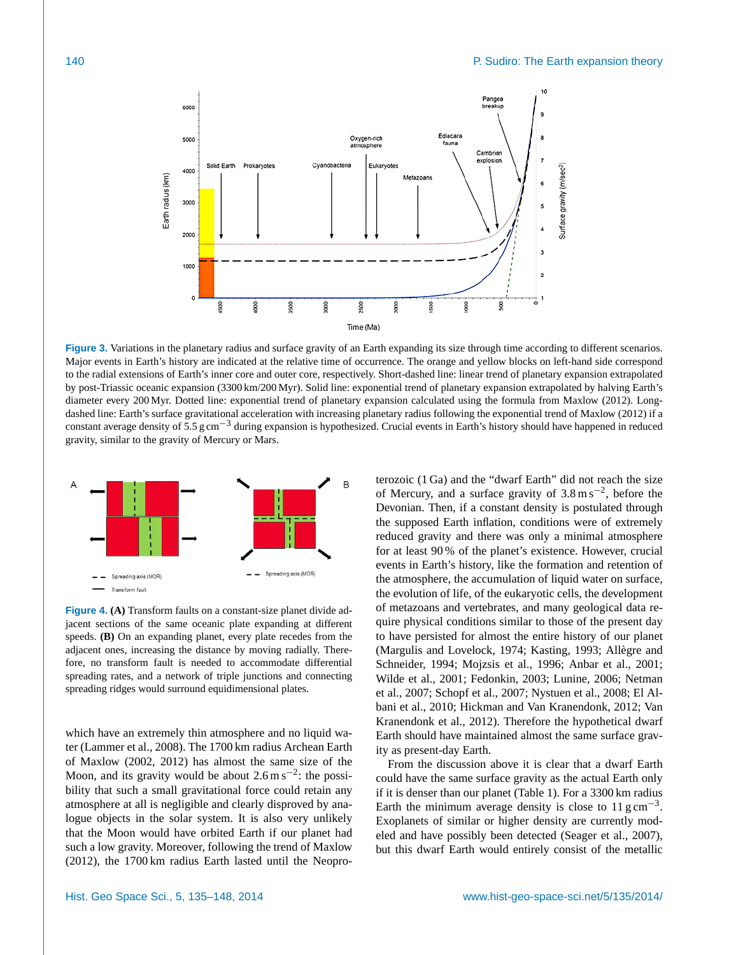

**Figure 3.** Variations in the planetary radius and surface gravity of an Earth expanding its size through time according to different scenarios. Major events in Earth's history are indicated at the relative time of occurrence. The orange and yellow blocks on left-hand side correspond to the radial extensions of Earth's inner core and outer core, respectively. Short-dashed line: linear trend of planetary expansion extrapolated by post-Triassic oceanic expansion (3300 km/200 Myr). Solid line: exponential trend of planetary expansion extrapolated by halving Earth's diameter every 200 Myr. Dotted line: exponential trend of planetary expansion calculated using the formula from Maxlow (2012). Longdashed line: Earth's surface gravitational acceleration with increasing planetary radius following the exponential trend of Maxlow (2012) if a constant average density of 5.5 g cm−<sup>3</sup> during expansion is hypothesized. Crucial events in Earth's history should have happened in reduced gravity, similar to the gravity of Mercury or Mars.



**Figure 4. (A)** Transform faults on a constant-size planet divide adjacent sections of the same oceanic plate expanding at different speeds. **(B)** On an expanding planet, every plate recedes from the adjacent ones, increasing the distance by moving radially. Therefore, no transform fault is needed to accommodate differential spreading rates, and a network of triple junctions and connecting spreading ridges would surround equidimensional plates.

which have an extremely thin atmosphere and no liquid water (Lammer et al., 2008). The 1700 km radius Archean Earth of Maxlow (2002, 2012) has almost the same size of the Moon, and its gravity would be about  $2.6 \text{ m s}^{-2}$ : the possibility that such a small gravitational force could retain any atmosphere at all is negligible and clearly disproved by analogue objects in the solar system. It is also very unlikely that the Moon would have orbited Earth if our planet had such a low gravity. Moreover, following the trend of Maxlow (2012), the 1700 km radius Earth lasted until the Neopro-

terozoic (1 Ga) and the "dwarf Earth" did not reach the size of Mercury, and a surface gravity of  $3.8 \text{ m s}^{-2}$ , before the Devonian. Then, if a constant density is postulated through the supposed Earth inflation, conditions were of extremely reduced gravity and there was only a minimal atmosphere for at least 90 % of the planet's existence. However, crucial events in Earth's history, like the formation and retention of the atmosphere, the accumulation of liquid water on surface, the evolution of life, of the eukaryotic cells, the development of metazoans and vertebrates, and many geological data require physical conditions similar to those of the present day to have persisted for almost the entire history of our planet (Margulis and Lovelock, 1974; Kasting, 1993; Allègre and Schneider, 1994; Mojzsis et al., 1996; Anbar et al., 2001; Wilde et al., 2001; Fedonkin, 2003; Lunine, 2006; Netman et al., 2007; Schopf et al., 2007; Nystuen et al., 2008; El Albani et al., 2010; Hickman and Van Kranendonk, 2012; Van Kranendonk et al., 2012). Therefore the hypothetical dwarf Earth should have maintained almost the same surface gravity as present-day Earth.

From the discussion above it is clear that a dwarf Earth could have the same surface gravity as the actual Earth only if it is denser than our planet (Table 1). For a 3300 km radius Earth the minimum average density is close to  $11 \text{ g cm}^{-3}$ . Exoplanets of similar or higher density are currently modeled and have possibly been detected (Seager et al., 2007), but this dwarf Earth would entirely consist of the metallic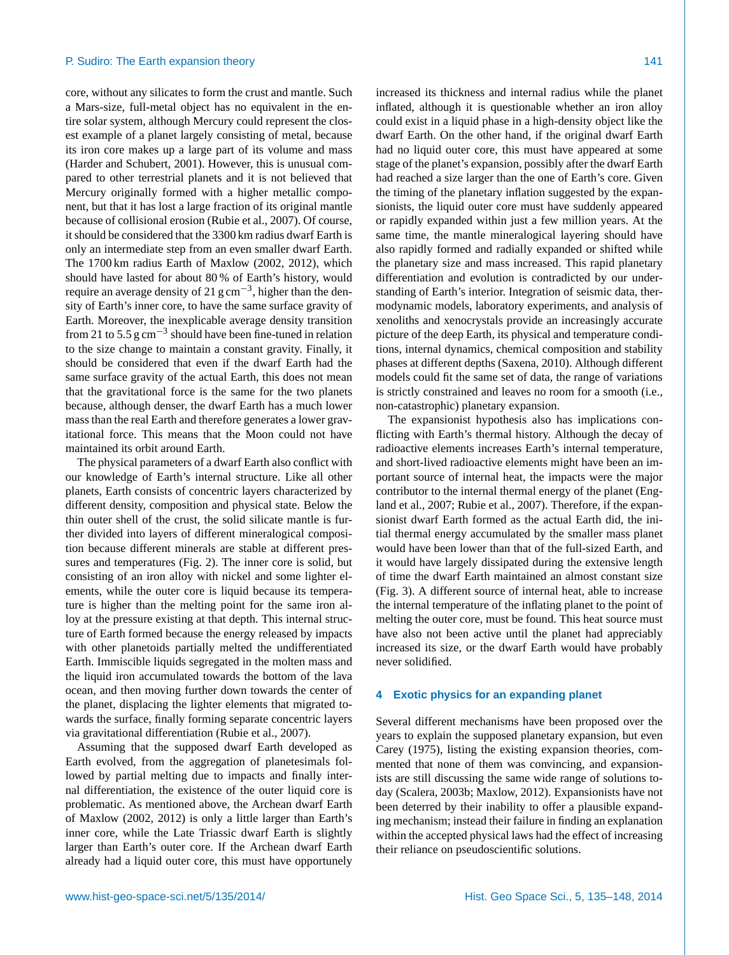core, without any silicates to form the crust and mantle. Such a Mars-size, full-metal object has no equivalent in the entire solar system, although Mercury could represent the closest example of a planet largely consisting of metal, because its iron core makes up a large part of its volume and mass (Harder and Schubert, 2001). However, this is unusual compared to other terrestrial planets and it is not believed that Mercury originally formed with a higher metallic component, but that it has lost a large fraction of its original mantle because of collisional erosion (Rubie et al., 2007). Of course, it should be considered that the 3300 km radius dwarf Earth is only an intermediate step from an even smaller dwarf Earth. The 1700 km radius Earth of Maxlow (2002, 2012), which should have lasted for about 80 % of Earth's history, would require an average density of 21 g cm<sup>-3</sup>, higher than the density of Earth's inner core, to have the same surface gravity of Earth. Moreover, the inexplicable average density transition from 21 to 5.5  $\text{g cm}^{-3}$  should have been fine-tuned in relation to the size change to maintain a constant gravity. Finally, it should be considered that even if the dwarf Earth had the same surface gravity of the actual Earth, this does not mean that the gravitational force is the same for the two planets because, although denser, the dwarf Earth has a much lower mass than the real Earth and therefore generates a lower gravitational force. This means that the Moon could not have maintained its orbit around Earth.

The physical parameters of a dwarf Earth also conflict with our knowledge of Earth's internal structure. Like all other planets, Earth consists of concentric layers characterized by different density, composition and physical state. Below the thin outer shell of the crust, the solid silicate mantle is further divided into layers of different mineralogical composition because different minerals are stable at different pressures and temperatures (Fig. 2). The inner core is solid, but consisting of an iron alloy with nickel and some lighter elements, while the outer core is liquid because its temperature is higher than the melting point for the same iron alloy at the pressure existing at that depth. This internal structure of Earth formed because the energy released by impacts with other planetoids partially melted the undifferentiated Earth. Immiscible liquids segregated in the molten mass and the liquid iron accumulated towards the bottom of the lava ocean, and then moving further down towards the center of the planet, displacing the lighter elements that migrated towards the surface, finally forming separate concentric layers via gravitational differentiation (Rubie et al., 2007).

Assuming that the supposed dwarf Earth developed as Earth evolved, from the aggregation of planetesimals followed by partial melting due to impacts and finally internal differentiation, the existence of the outer liquid core is problematic. As mentioned above, the Archean dwarf Earth of Maxlow (2002, 2012) is only a little larger than Earth's inner core, while the Late Triassic dwarf Earth is slightly larger than Earth's outer core. If the Archean dwarf Earth already had a liquid outer core, this must have opportunely increased its thickness and internal radius while the planet inflated, although it is questionable whether an iron alloy could exist in a liquid phase in a high-density object like the dwarf Earth. On the other hand, if the original dwarf Earth had no liquid outer core, this must have appeared at some stage of the planet's expansion, possibly after the dwarf Earth had reached a size larger than the one of Earth's core. Given the timing of the planetary inflation suggested by the expansionists, the liquid outer core must have suddenly appeared or rapidly expanded within just a few million years. At the same time, the mantle mineralogical layering should have also rapidly formed and radially expanded or shifted while the planetary size and mass increased. This rapid planetary differentiation and evolution is contradicted by our understanding of Earth's interior. Integration of seismic data, thermodynamic models, laboratory experiments, and analysis of xenoliths and xenocrystals provide an increasingly accurate picture of the deep Earth, its physical and temperature conditions, internal dynamics, chemical composition and stability phases at different depths (Saxena, 2010). Although different models could fit the same set of data, the range of variations is strictly constrained and leaves no room for a smooth (i.e., non-catastrophic) planetary expansion.

The expansionist hypothesis also has implications conflicting with Earth's thermal history. Although the decay of radioactive elements increases Earth's internal temperature, and short-lived radioactive elements might have been an important source of internal heat, the impacts were the major contributor to the internal thermal energy of the planet (England et al., 2007; Rubie et al., 2007). Therefore, if the expansionist dwarf Earth formed as the actual Earth did, the initial thermal energy accumulated by the smaller mass planet would have been lower than that of the full-sized Earth, and it would have largely dissipated during the extensive length of time the dwarf Earth maintained an almost constant size (Fig. 3). A different source of internal heat, able to increase the internal temperature of the inflating planet to the point of melting the outer core, must be found. This heat source must have also not been active until the planet had appreciably increased its size, or the dwarf Earth would have probably never solidified.

#### **4 Exotic physics for an expanding planet**

Several different mechanisms have been proposed over the years to explain the supposed planetary expansion, but even Carey (1975), listing the existing expansion theories, commented that none of them was convincing, and expansionists are still discussing the same wide range of solutions today (Scalera, 2003b; Maxlow, 2012). Expansionists have not been deterred by their inability to offer a plausible expanding mechanism; instead their failure in finding an explanation within the accepted physical laws had the effect of increasing their reliance on pseudoscientific solutions.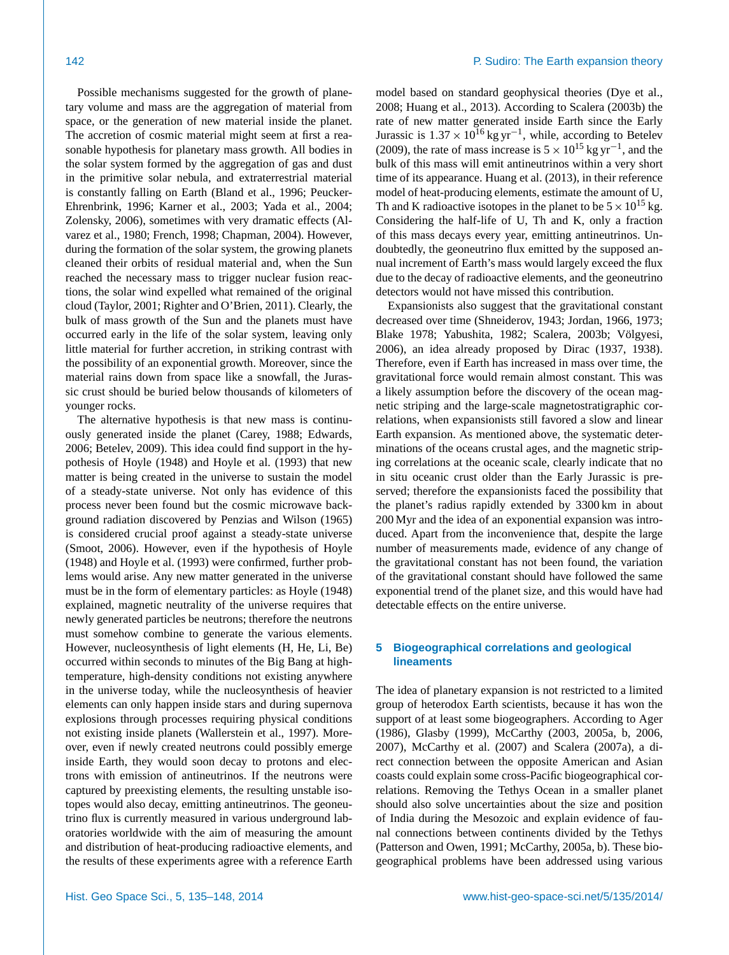Possible mechanisms suggested for the growth of planetary volume and mass are the aggregation of material from space, or the generation of new material inside the planet. The accretion of cosmic material might seem at first a reasonable hypothesis for planetary mass growth. All bodies in the solar system formed by the aggregation of gas and dust in the primitive solar nebula, and extraterrestrial material is constantly falling on Earth (Bland et al., 1996; Peucker-Ehrenbrink, 1996; Karner et al., 2003; Yada et al., 2004; Zolensky, 2006), sometimes with very dramatic effects (Alvarez et al., 1980; French, 1998; Chapman, 2004). However, during the formation of the solar system, the growing planets cleaned their orbits of residual material and, when the Sun reached the necessary mass to trigger nuclear fusion reactions, the solar wind expelled what remained of the original cloud (Taylor, 2001; Righter and O'Brien, 2011). Clearly, the bulk of mass growth of the Sun and the planets must have occurred early in the life of the solar system, leaving only little material for further accretion, in striking contrast with the possibility of an exponential growth. Moreover, since the material rains down from space like a snowfall, the Jurassic crust should be buried below thousands of kilometers of younger rocks.

The alternative hypothesis is that new mass is continuously generated inside the planet (Carey, 1988; Edwards, 2006; Betelev, 2009). This idea could find support in the hypothesis of Hoyle (1948) and Hoyle et al. (1993) that new matter is being created in the universe to sustain the model of a steady-state universe. Not only has evidence of this process never been found but the cosmic microwave background radiation discovered by Penzias and Wilson (1965) is considered crucial proof against a steady-state universe (Smoot, 2006). However, even if the hypothesis of Hoyle (1948) and Hoyle et al. (1993) were confirmed, further problems would arise. Any new matter generated in the universe must be in the form of elementary particles: as Hoyle (1948) explained, magnetic neutrality of the universe requires that newly generated particles be neutrons; therefore the neutrons must somehow combine to generate the various elements. However, nucleosynthesis of light elements (H, He, Li, Be) occurred within seconds to minutes of the Big Bang at hightemperature, high-density conditions not existing anywhere in the universe today, while the nucleosynthesis of heavier elements can only happen inside stars and during supernova explosions through processes requiring physical conditions not existing inside planets (Wallerstein et al., 1997). Moreover, even if newly created neutrons could possibly emerge inside Earth, they would soon decay to protons and electrons with emission of antineutrinos. If the neutrons were captured by preexisting elements, the resulting unstable isotopes would also decay, emitting antineutrinos. The geoneutrino flux is currently measured in various underground laboratories worldwide with the aim of measuring the amount and distribution of heat-producing radioactive elements, and the results of these experiments agree with a reference Earth model based on standard geophysical theories (Dye et al., 2008; Huang et al., 2013). According to Scalera (2003b) the rate of new matter generated inside Earth since the Early Jurassic is  $1.37 \times 10^{16}$  kg yr<sup>-1</sup>, while, according to Betelev (2009), the rate of mass increase is  $5 \times 10^{15}$  kg yr<sup>-1</sup>, and the bulk of this mass will emit antineutrinos within a very short time of its appearance. Huang et al. (2013), in their reference model of heat-producing elements, estimate the amount of U, Th and K radioactive isotopes in the planet to be  $5 \times 10^{15}$  kg. Considering the half-life of U, Th and K, only a fraction of this mass decays every year, emitting antineutrinos. Undoubtedly, the geoneutrino flux emitted by the supposed annual increment of Earth's mass would largely exceed the flux due to the decay of radioactive elements, and the geoneutrino detectors would not have missed this contribution.

Expansionists also suggest that the gravitational constant decreased over time (Shneiderov, 1943; Jordan, 1966, 1973; Blake 1978; Yabushita, 1982; Scalera, 2003b; Völgyesi, 2006), an idea already proposed by Dirac (1937, 1938). Therefore, even if Earth has increased in mass over time, the gravitational force would remain almost constant. This was a likely assumption before the discovery of the ocean magnetic striping and the large-scale magnetostratigraphic correlations, when expansionists still favored a slow and linear Earth expansion. As mentioned above, the systematic determinations of the oceans crustal ages, and the magnetic striping correlations at the oceanic scale, clearly indicate that no in situ oceanic crust older than the Early Jurassic is preserved; therefore the expansionists faced the possibility that the planet's radius rapidly extended by 3300 km in about 200 Myr and the idea of an exponential expansion was introduced. Apart from the inconvenience that, despite the large number of measurements made, evidence of any change of the gravitational constant has not been found, the variation of the gravitational constant should have followed the same exponential trend of the planet size, and this would have had detectable effects on the entire universe.

### **5 Biogeographical correlations and geological lineaments**

The idea of planetary expansion is not restricted to a limited group of heterodox Earth scientists, because it has won the support of at least some biogeographers. According to Ager (1986), Glasby (1999), McCarthy (2003, 2005a, b, 2006, 2007), McCarthy et al. (2007) and Scalera (2007a), a direct connection between the opposite American and Asian coasts could explain some cross-Pacific biogeographical correlations. Removing the Tethys Ocean in a smaller planet should also solve uncertainties about the size and position of India during the Mesozoic and explain evidence of faunal connections between continents divided by the Tethys (Patterson and Owen, 1991; McCarthy, 2005a, b). These biogeographical problems have been addressed using various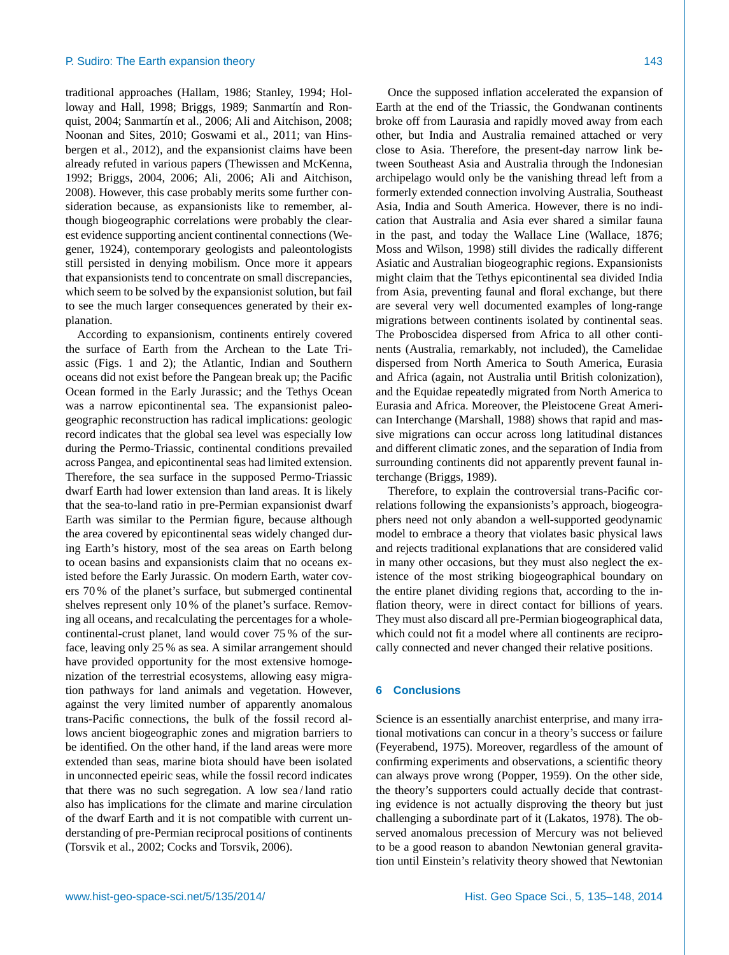traditional approaches (Hallam, 1986; Stanley, 1994; Holloway and Hall, 1998; Briggs, 1989; Sanmartín and Ronquist, 2004; Sanmartín et al., 2006; Ali and Aitchison, 2008; Noonan and Sites, 2010; Goswami et al., 2011; van Hinsbergen et al., 2012), and the expansionist claims have been already refuted in various papers (Thewissen and McKenna, 1992; Briggs, 2004, 2006; Ali, 2006; Ali and Aitchison, 2008). However, this case probably merits some further consideration because, as expansionists like to remember, although biogeographic correlations were probably the clearest evidence supporting ancient continental connections (Wegener, 1924), contemporary geologists and paleontologists still persisted in denying mobilism. Once more it appears that expansionists tend to concentrate on small discrepancies, which seem to be solved by the expansionist solution, but fail to see the much larger consequences generated by their explanation.

According to expansionism, continents entirely covered the surface of Earth from the Archean to the Late Triassic (Figs. 1 and 2); the Atlantic, Indian and Southern oceans did not exist before the Pangean break up; the Pacific Ocean formed in the Early Jurassic; and the Tethys Ocean was a narrow epicontinental sea. The expansionist paleogeographic reconstruction has radical implications: geologic record indicates that the global sea level was especially low during the Permo-Triassic, continental conditions prevailed across Pangea, and epicontinental seas had limited extension. Therefore, the sea surface in the supposed Permo-Triassic dwarf Earth had lower extension than land areas. It is likely that the sea-to-land ratio in pre-Permian expansionist dwarf Earth was similar to the Permian figure, because although the area covered by epicontinental seas widely changed during Earth's history, most of the sea areas on Earth belong to ocean basins and expansionists claim that no oceans existed before the Early Jurassic. On modern Earth, water covers 70 % of the planet's surface, but submerged continental shelves represent only 10 % of the planet's surface. Removing all oceans, and recalculating the percentages for a wholecontinental-crust planet, land would cover 75 % of the surface, leaving only 25 % as sea. A similar arrangement should have provided opportunity for the most extensive homogenization of the terrestrial ecosystems, allowing easy migration pathways for land animals and vegetation. However, against the very limited number of apparently anomalous trans-Pacific connections, the bulk of the fossil record allows ancient biogeographic zones and migration barriers to be identified. On the other hand, if the land areas were more extended than seas, marine biota should have been isolated in unconnected epeiric seas, while the fossil record indicates that there was no such segregation. A low sea / land ratio also has implications for the climate and marine circulation of the dwarf Earth and it is not compatible with current understanding of pre-Permian reciprocal positions of continents (Torsvik et al., 2002; Cocks and Torsvik, 2006).

Once the supposed inflation accelerated the expansion of Earth at the end of the Triassic, the Gondwanan continents broke off from Laurasia and rapidly moved away from each other, but India and Australia remained attached or very close to Asia. Therefore, the present-day narrow link between Southeast Asia and Australia through the Indonesian archipelago would only be the vanishing thread left from a formerly extended connection involving Australia, Southeast Asia, India and South America. However, there is no indication that Australia and Asia ever shared a similar fauna in the past, and today the Wallace Line (Wallace, 1876; Moss and Wilson, 1998) still divides the radically different Asiatic and Australian biogeographic regions. Expansionists might claim that the Tethys epicontinental sea divided India from Asia, preventing faunal and floral exchange, but there are several very well documented examples of long-range migrations between continents isolated by continental seas. The Proboscidea dispersed from Africa to all other continents (Australia, remarkably, not included), the Camelidae dispersed from North America to South America, Eurasia and Africa (again, not Australia until British colonization), and the Equidae repeatedly migrated from North America to Eurasia and Africa. Moreover, the Pleistocene Great American Interchange (Marshall, 1988) shows that rapid and massive migrations can occur across long latitudinal distances and different climatic zones, and the separation of India from surrounding continents did not apparently prevent faunal interchange (Briggs, 1989).

Therefore, to explain the controversial trans-Pacific correlations following the expansionists's approach, biogeographers need not only abandon a well-supported geodynamic model to embrace a theory that violates basic physical laws and rejects traditional explanations that are considered valid in many other occasions, but they must also neglect the existence of the most striking biogeographical boundary on the entire planet dividing regions that, according to the inflation theory, were in direct contact for billions of years. They must also discard all pre-Permian biogeographical data, which could not fit a model where all continents are reciprocally connected and never changed their relative positions.

# **6 Conclusions**

Science is an essentially anarchist enterprise, and many irrational motivations can concur in a theory's success or failure (Feyerabend, 1975). Moreover, regardless of the amount of confirming experiments and observations, a scientific theory can always prove wrong (Popper, 1959). On the other side, the theory's supporters could actually decide that contrasting evidence is not actually disproving the theory but just challenging a subordinate part of it (Lakatos, 1978). The observed anomalous precession of Mercury was not believed to be a good reason to abandon Newtonian general gravitation until Einstein's relativity theory showed that Newtonian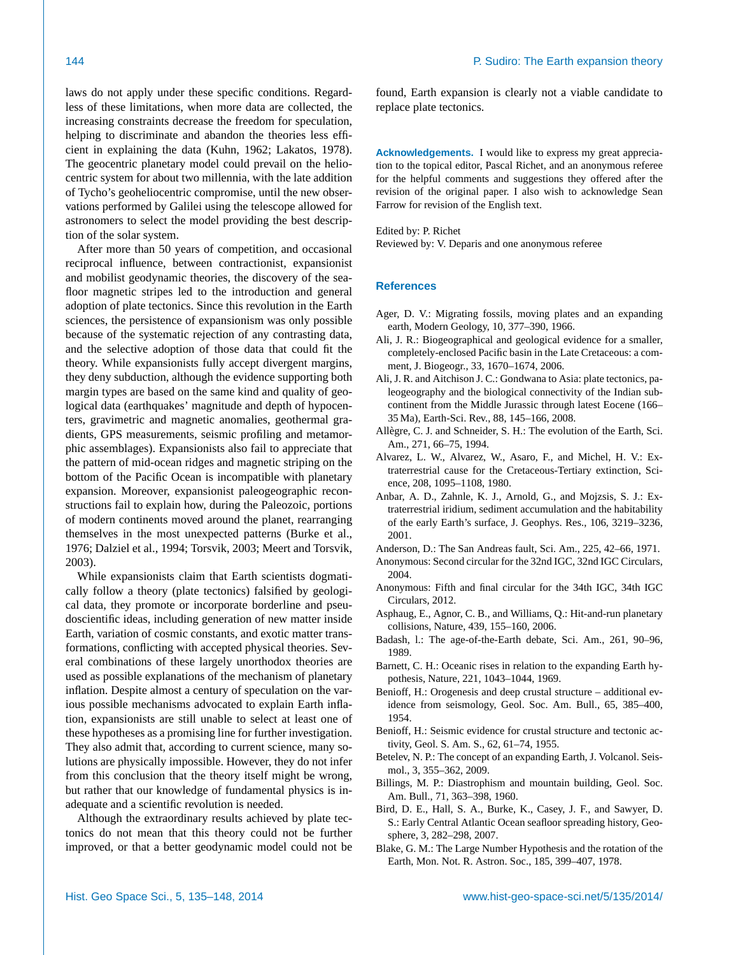laws do not apply under these specific conditions. Regardless of these limitations, when more data are collected, the increasing constraints decrease the freedom for speculation, helping to discriminate and abandon the theories less efficient in explaining the data (Kuhn, 1962; Lakatos, 1978). The geocentric planetary model could prevail on the heliocentric system for about two millennia, with the late addition of Tycho's geoheliocentric compromise, until the new observations performed by Galilei using the telescope allowed for astronomers to select the model providing the best description of the solar system.

After more than 50 years of competition, and occasional reciprocal influence, between contractionist, expansionist and mobilist geodynamic theories, the discovery of the seafloor magnetic stripes led to the introduction and general adoption of plate tectonics. Since this revolution in the Earth sciences, the persistence of expansionism was only possible because of the systematic rejection of any contrasting data, and the selective adoption of those data that could fit the theory. While expansionists fully accept divergent margins, they deny subduction, although the evidence supporting both margin types are based on the same kind and quality of geological data (earthquakes' magnitude and depth of hypocenters, gravimetric and magnetic anomalies, geothermal gradients, GPS measurements, seismic profiling and metamorphic assemblages). Expansionists also fail to appreciate that the pattern of mid-ocean ridges and magnetic striping on the bottom of the Pacific Ocean is incompatible with planetary expansion. Moreover, expansionist paleogeographic reconstructions fail to explain how, during the Paleozoic, portions of modern continents moved around the planet, rearranging themselves in the most unexpected patterns (Burke et al., 1976; Dalziel et al., 1994; Torsvik, 2003; Meert and Torsvik, 2003).

While expansionists claim that Earth scientists dogmatically follow a theory (plate tectonics) falsified by geological data, they promote or incorporate borderline and pseudoscientific ideas, including generation of new matter inside Earth, variation of cosmic constants, and exotic matter transformations, conflicting with accepted physical theories. Several combinations of these largely unorthodox theories are used as possible explanations of the mechanism of planetary inflation. Despite almost a century of speculation on the various possible mechanisms advocated to explain Earth inflation, expansionists are still unable to select at least one of these hypotheses as a promising line for further investigation. They also admit that, according to current science, many solutions are physically impossible. However, they do not infer from this conclusion that the theory itself might be wrong, but rather that our knowledge of fundamental physics is inadequate and a scientific revolution is needed.

Although the extraordinary results achieved by plate tectonics do not mean that this theory could not be further improved, or that a better geodynamic model could not be

found, Earth expansion is clearly not a viable candidate to replace plate tectonics.

**Acknowledgements.** I would like to express my great appreciation to the topical editor, Pascal Richet, and an anonymous referee for the helpful comments and suggestions they offered after the revision of the original paper. I also wish to acknowledge Sean Farrow for revision of the English text.

Edited by: P. Richet

Reviewed by: V. Deparis and one anonymous referee

# **References**

- Ager, D. V.: Migrating fossils, moving plates and an expanding earth, Modern Geology, 10, 377–390, 1966.
- Ali, J. R.: Biogeographical and geological evidence for a smaller, completely-enclosed Pacific basin in the Late Cretaceous: a comment, J. Biogeogr., 33, 1670–1674, 2006.
- Ali, J. R. and Aitchison J. C.: Gondwana to Asia: plate tectonics, paleogeography and the biological connectivity of the Indian subcontinent from the Middle Jurassic through latest Eocene (166– 35 Ma), Earth-Sci. Rev., 88, 145–166, 2008.
- Allègre, C. J. and Schneider, S. H.: The evolution of the Earth, Sci. Am., 271, 66–75, 1994.
- Alvarez, L. W., Alvarez, W., Asaro, F., and Michel, H. V.: Extraterrestrial cause for the Cretaceous-Tertiary extinction, Science, 208, 1095–1108, 1980.
- Anbar, A. D., Zahnle, K. J., Arnold, G., and Mojzsis, S. J.: Extraterrestrial iridium, sediment accumulation and the habitability of the early Earth's surface, J. Geophys. Res., 106, 3219–3236, 2001.
- Anderson, D.: The San Andreas fault, Sci. Am., 225, 42–66, 1971.
- Anonymous: Second circular for the 32nd IGC, 32nd IGC Circulars, 2004.
- Anonymous: Fifth and final circular for the 34th IGC, 34th IGC Circulars, 2012.
- Asphaug, E., Agnor, C. B., and Williams, Q.: Hit-and-run planetary collisions, Nature, 439, 155–160, 2006.
- Badash, l.: The age-of-the-Earth debate, Sci. Am., 261, 90–96, 1989.
- Barnett, C. H.: Oceanic rises in relation to the expanding Earth hypothesis, Nature, 221, 1043–1044, 1969.
- Benioff, H.: Orogenesis and deep crustal structure additional evidence from seismology, Geol. Soc. Am. Bull., 65, 385–400, 1954.
- Benioff, H.: Seismic evidence for crustal structure and tectonic activity, Geol. S. Am. S., 62, 61–74, 1955.
- Betelev, N. P.: The concept of an expanding Earth, J. Volcanol. Seismol., 3, 355–362, 2009.
- Billings, M. P.: Diastrophism and mountain building, Geol. Soc. Am. Bull., 71, 363–398, 1960.
- Bird, D. E., Hall, S. A., Burke, K., Casey, J. F., and Sawyer, D. S.: Early Central Atlantic Ocean seafloor spreading history, Geosphere, 3, 282–298, 2007.
- Blake, G. M.: The Large Number Hypothesis and the rotation of the Earth, Mon. Not. R. Astron. Soc., 185, 399–407, 1978.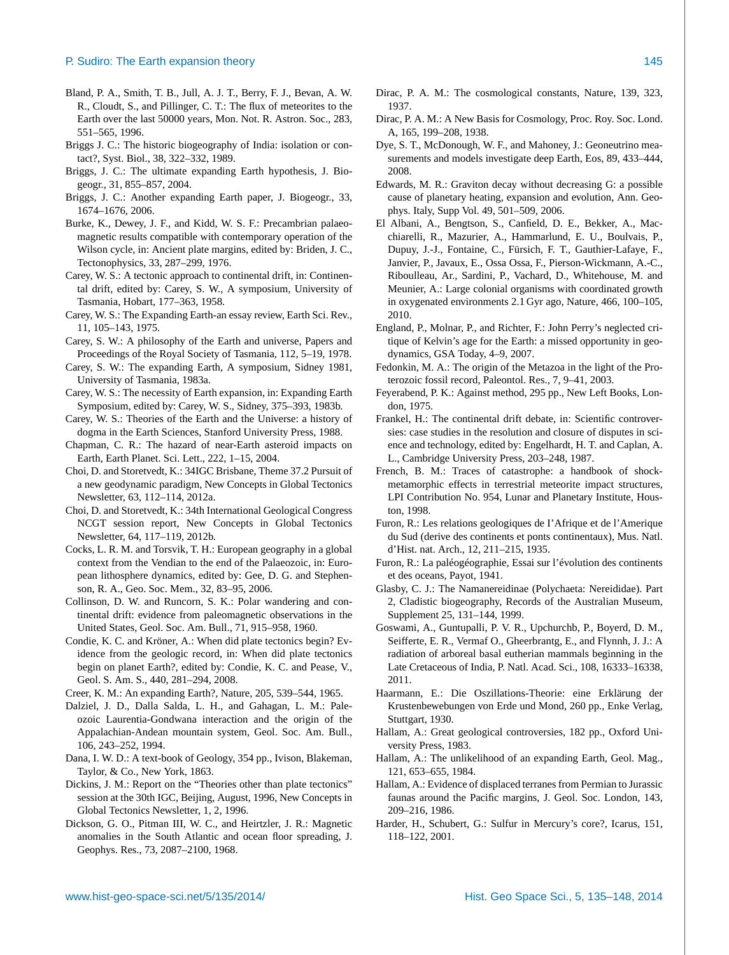- Bland, P. A., Smith, T. B., Jull, A. J. T., Berry, F. J., Bevan, A. W. R., Cloudt, S., and Pillinger, C. T.: The flux of meteorites to the Earth over the last 50000 years, Mon. Not. R. Astron. Soc., 283, 551–565, 1996.
- Briggs J. C.: The historic biogeography of India: isolation or contact?, Syst. Biol., 38, 322–332, 1989.
- Briggs, J. C.: The ultimate expanding Earth hypothesis, J. Biogeogr., 31, 855–857, 2004.
- Briggs, J. C.: Another expanding Earth paper, J. Biogeogr., 33, 1674–1676, 2006.
- Burke, K., Dewey, J. F., and Kidd, W. S. F.: Precambrian palaeomagnetic results compatible with contemporary operation of the Wilson cycle, in: Ancient plate margins, edited by: Briden, J. C., Tectonophysics, 33, 287–299, 1976.
- Carey, W. S.: A tectonic approach to continental drift, in: Continental drift, edited by: Carey, S. W., A symposium, University of Tasmania, Hobart, 177–363, 1958.
- Carey, W. S.: The Expanding Earth-an essay review, Earth Sci. Rev., 11, 105–143, 1975.
- Carey, S. W.: A philosophy of the Earth and universe, Papers and Proceedings of the Royal Society of Tasmania, 112, 5–19, 1978.
- Carey, S. W.: The expanding Earth, A symposium, Sidney 1981, University of Tasmania, 1983a.
- Carey, W. S.: The necessity of Earth expansion, in: Expanding Earth Symposium, edited by: Carey, W. S., Sidney, 375–393, 1983b.
- Carey, W. S.: Theories of the Earth and the Universe: a history of dogma in the Earth Sciences, Stanford University Press, 1988.
- Chapman, C. R.: The hazard of near-Earth asteroid impacts on Earth, Earth Planet. Sci. Lett., 222, 1–15, 2004.
- Choi, D. and Storetvedt, K.: 34IGC Brisbane, Theme 37.2 Pursuit of a new geodynamic paradigm, New Concepts in Global Tectonics Newsletter, 63, 112–114, 2012a.
- Choi, D. and Storetvedt, K.: 34th International Geological Congress NCGT session report, New Concepts in Global Tectonics Newsletter, 64, 117–119, 2012b.
- Cocks, L. R. M. and Torsvik, T. H.: European geography in a global context from the Vendian to the end of the Palaeozoic, in: European lithosphere dynamics, edited by: Gee, D. G. and Stephenson, R. A., Geo. Soc. Mem., 32, 83–95, 2006.
- Collinson, D. W. and Runcorn, S. K.: Polar wandering and continental drift: evidence from paleomagnetic observations in the United States, Geol. Soc. Am. Bull., 71, 915–958, 1960.
- Condie, K. C. and Kröner, A.: When did plate tectonics begin? Evidence from the geologic record, in: When did plate tectonics begin on planet Earth?, edited by: Condie, K. C. and Pease, V., Geol. S. Am. S., 440, 281–294, 2008.
- Creer, K. M.: An expanding Earth?, Nature, 205, 539–544, 1965.
- Dalziel, J. D., Dalla Salda, L. H., and Gahagan, L. M.: Paleozoic Laurentia-Gondwana interaction and the origin of the Appalachian-Andean mountain system, Geol. Soc. Am. Bull., 106, 243–252, 1994.
- Dana, I. W. D.: A text-book of Geology, 354 pp., Ivison, Blakeman, Taylor, & Co., New York, 1863.
- Dickins, J. M.: Report on the "Theories other than plate tectonics" session at the 30th IGC, Beijing, August, 1996, New Concepts in Global Tectonics Newsletter, 1, 2, 1996.
- Dickson, G. O., Pitman III, W. C., and Heirtzler, J. R.: Magnetic anomalies in the South Atlantic and ocean floor spreading, J. Geophys. Res., 73, 2087–2100, 1968.
- Dirac, P. A. M.: The cosmological constants, Nature, 139, 323, 1937.
- Dirac, P. A. M.: A New Basis for Cosmology, Proc. Roy. Soc. Lond. A, 165, 199–208, 1938.
- Dye, S. T., McDonough, W. F., and Mahoney, J.: Geoneutrino measurements and models investigate deep Earth, Eos, 89, 433–444, 2008.
- Edwards, M. R.: Graviton decay without decreasing G: a possible cause of planetary heating, expansion and evolution, Ann. Geophys. Italy, Supp Vol. 49, 501–509, 2006.
- El Albani, A., Bengtson, S., Canfield, D. E., Bekker, A., Macchiarelli, R., Mazurier, A., Hammarlund, E. U., Boulvais, P., Dupuy, J.-J., Fontaine, C., Fürsich, F. T., Gauthier-Lafaye, F., Janvier, P., Javaux, E., Ossa Ossa, F., Pierson-Wickmann, A.-C., Riboulleau, Ar., Sardini, P., Vachard, D., Whitehouse, M. and Meunier, A.: Large colonial organisms with coordinated growth in oxygenated environments 2.1 Gyr ago, Nature, 466, 100–105, 2010.
- England, P., Molnar, P., and Richter, F.: John Perry's neglected critique of Kelvin's age for the Earth: a missed opportunity in geodynamics, GSA Today, 4–9, 2007.
- Fedonkin, M. A.: The origin of the Metazoa in the light of the Proterozoic fossil record, Paleontol. Res., 7, 9–41, 2003.
- Feyerabend, P. K.: Against method, 295 pp., New Left Books, London, 1975.
- Frankel, H.: The continental drift debate, in: Scientific controversies: case studies in the resolution and closure of disputes in science and technology, edited by: Engelhardt, H. T. and Caplan, A. L., Cambridge University Press, 203–248, 1987.
- French, B. M.: Traces of catastrophe: a handbook of shockmetamorphic effects in terrestrial meteorite impact structures, LPI Contribution No. 954, Lunar and Planetary Institute, Houston, 1998.
- Furon, R.: Les relations geologiques de I'Afrique et de l'Amerique du Sud (derive des continents et ponts continentaux), Mus. Natl. d'Hist. nat. Arch., 12, 211–215, 1935.
- Furon, R.: La paléogéographie, Essai sur l'évolution des continents et des oceans, Payot, 1941.
- Glasby, C. J.: The Namanereidinae (Polychaeta: Nereididae). Part 2, Cladistic biogeography, Records of the Australian Museum, Supplement 25, 131–144, 1999.
- Goswami, A., Guntupalli, P. V. R., Upchurchb, P., Boyerd, D. M., Seifferte, E. R., Vermaf O., Gheerbrantg, E., and Flynnh, J. J.: A radiation of arboreal basal eutherian mammals beginning in the Late Cretaceous of India, P. Natl. Acad. Sci., 108, 16333–16338, 2011.
- Haarmann, E.: Die Oszillations-Theorie: eine Erklärung der Krustenbewebungen von Erde und Mond, 260 pp., Enke Verlag, Stuttgart, 1930.
- Hallam, A.: Great geological controversies, 182 pp., Oxford University Press, 1983.
- Hallam, A.: The unlikelihood of an expanding Earth, Geol. Mag., 121, 653–655, 1984.
- Hallam, A.: Evidence of displaced terranes from Permian to Jurassic faunas around the Pacific margins, J. Geol. Soc. London, 143, 209–216, 1986.
- Harder, H., Schubert, G.: Sulfur in Mercury's core?, Icarus, 151, 118–122, 2001.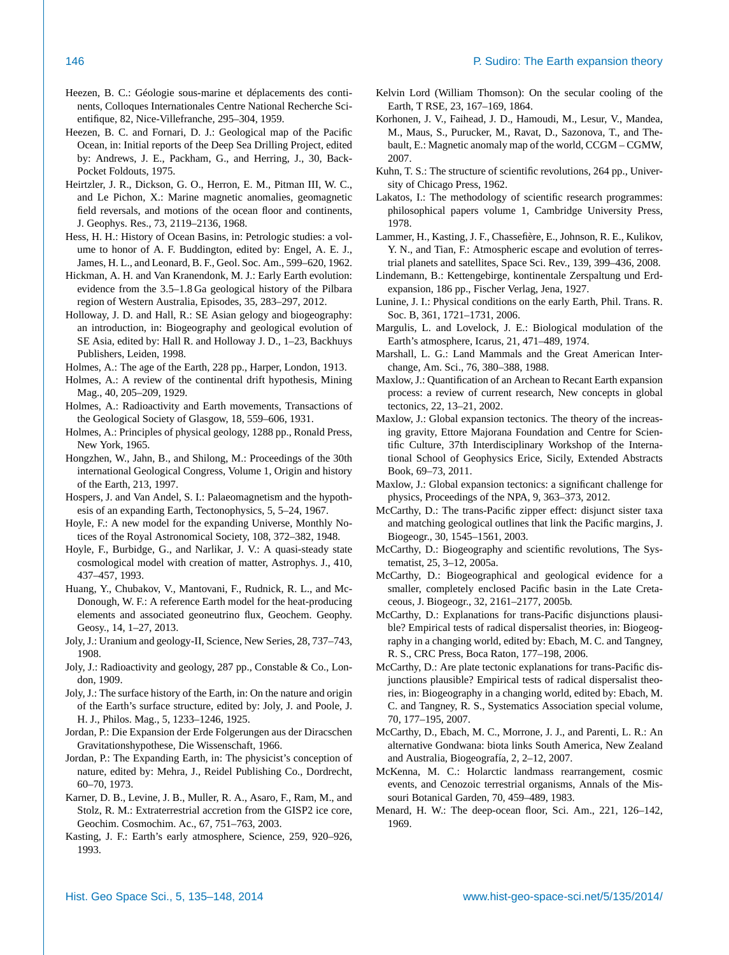- Heezen, B. C.: Géologie sous-marine et déplacements des continents, Colloques Internationales Centre National Recherche Scientifique, 82, Nice-Villefranche, 295–304, 1959.
- Heezen, B. C. and Fornari, D. J.: Geological map of the Pacific Ocean, in: Initial reports of the Deep Sea Drilling Project, edited by: Andrews, J. E., Packham, G., and Herring, J., 30, Back-Pocket Foldouts, 1975.
- Heirtzler, J. R., Dickson, G. O., Herron, E. M., Pitman III, W. C., and Le Pichon, X.: Marine magnetic anomalies, geomagnetic field reversals, and motions of the ocean floor and continents, J. Geophys. Res., 73, 2119–2136, 1968.
- Hess, H. H.: History of Ocean Basins, in: Petrologic studies: a volume to honor of A. F. Buddington, edited by: Engel, A. E. J., James, H. L., and Leonard, B. F., Geol. Soc. Am., 599–620, 1962.
- Hickman, A. H. and Van Kranendonk, M. J.: Early Earth evolution: evidence from the 3.5–1.8 Ga geological history of the Pilbara region of Western Australia, Episodes, 35, 283–297, 2012.
- Holloway, J. D. and Hall, R.: SE Asian gelogy and biogeography: an introduction, in: Biogeography and geological evolution of SE Asia, edited by: Hall R. and Holloway J. D., 1–23, Backhuys Publishers, Leiden, 1998.
- Holmes, A.: The age of the Earth, 228 pp., Harper, London, 1913.
- Holmes, A.: A review of the continental drift hypothesis, Mining Mag., 40, 205–209, 1929.
- Holmes, A.: Radioactivity and Earth movements, Transactions of the Geological Society of Glasgow, 18, 559–606, 1931.
- Holmes, A.: Principles of physical geology, 1288 pp., Ronald Press, New York, 1965.
- Hongzhen, W., Jahn, B., and Shilong, M.: Proceedings of the 30th international Geological Congress, Volume 1, Origin and history of the Earth, 213, 1997.
- Hospers, J. and Van Andel, S. I.: Palaeomagnetism and the hypothesis of an expanding Earth, Tectonophysics, 5, 5–24, 1967.
- Hoyle, F.: A new model for the expanding Universe, Monthly Notices of the Royal Astronomical Society, 108, 372–382, 1948.
- Hoyle, F., Burbidge, G., and Narlikar, J. V.: A quasi-steady state cosmological model with creation of matter, Astrophys. J., 410, 437–457, 1993.
- Huang, Y., Chubakov, V., Mantovani, F., Rudnick, R. L., and Mc-Donough, W. F.: A reference Earth model for the heat-producing elements and associated geoneutrino flux, Geochem. Geophy. Geosy., 14, 1–27, 2013.
- Joly, J.: Uranium and geology-II, Science, New Series, 28, 737–743, 1908.
- Joly, J.: Radioactivity and geology, 287 pp., Constable & Co., London, 1909.
- Joly, J.: The surface history of the Earth, in: On the nature and origin of the Earth's surface structure, edited by: Joly, J. and Poole, J. H. J., Philos. Mag., 5, 1233–1246, 1925.
- Jordan, P.: Die Expansion der Erde Folgerungen aus der Diracschen Gravitationshypothese, Die Wissenschaft, 1966.
- Jordan, P.: The Expanding Earth, in: The physicist's conception of nature, edited by: Mehra, J., Reidel Publishing Co., Dordrecht, 60–70, 1973.
- Karner, D. B., Levine, J. B., Muller, R. A., Asaro, F., Ram, M., and Stolz, R. M.: Extraterrestrial accretion from the GISP2 ice core, Geochim. Cosmochim. Ac., 67, 751–763, 2003.
- Kasting, J. F.: Earth's early atmosphere, Science, 259, 920–926, 1993.
- Kelvin Lord (William Thomson): On the secular cooling of the Earth, T RSE, 23, 167–169, 1864.
- Korhonen, J. V., Faihead, J. D., Hamoudi, M., Lesur, V., Mandea, M., Maus, S., Purucker, M., Ravat, D., Sazonova, T., and Thebault, E.: Magnetic anomaly map of the world, CCGM – CGMW, 2007.
- Kuhn, T. S.: The structure of scientific revolutions, 264 pp., University of Chicago Press, 1962.
- Lakatos, I.: The methodology of scientific research programmes: philosophical papers volume 1, Cambridge University Press, 1978.
- Lammer, H., Kasting, J. F., Chassefière, E., Johnson, R. E., Kulikov, Y. N., and Tian, F.: Atmospheric escape and evolution of terrestrial planets and satellites, Space Sci. Rev., 139, 399–436, 2008.
- Lindemann, B.: Kettengebirge, kontinentale Zerspaltung und Erdexpansion, 186 pp., Fischer Verlag, Jena, 1927.
- Lunine, J. I.: Physical conditions on the early Earth, Phil. Trans. R. Soc. B, 361, 1721–1731, 2006.
- Margulis, L. and Lovelock, J. E.: Biological modulation of the Earth's atmosphere, Icarus, 21, 471–489, 1974.
- Marshall, L. G.: Land Mammals and the Great American Interchange, Am. Sci., 76, 380–388, 1988.
- Maxlow, J.: Quantification of an Archean to Recant Earth expansion process: a review of current research, New concepts in global tectonics, 22, 13–21, 2002.
- Maxlow, J.: Global expansion tectonics. The theory of the increasing gravity, Ettore Majorana Foundation and Centre for Scientific Culture, 37th Interdisciplinary Workshop of the International School of Geophysics Erice, Sicily, Extended Abstracts Book, 69–73, 2011.
- Maxlow, J.: Global expansion tectonics: a significant challenge for physics, Proceedings of the NPA, 9, 363–373, 2012.
- McCarthy, D.: The trans-Pacific zipper effect: disjunct sister taxa and matching geological outlines that link the Pacific margins, J. Biogeogr., 30, 1545–1561, 2003.
- McCarthy, D.: Biogeography and scientific revolutions, The Systematist, 25, 3–12, 2005a.
- McCarthy, D.: Biogeographical and geological evidence for a smaller, completely enclosed Pacific basin in the Late Cretaceous, J. Biogeogr., 32, 2161–2177, 2005b.
- McCarthy, D.: Explanations for trans-Pacific disjunctions plausible? Empirical tests of radical dispersalist theories, in: Biogeography in a changing world, edited by: Ebach, M. C. and Tangney, R. S., CRC Press, Boca Raton, 177–198, 2006.
- McCarthy, D.: Are plate tectonic explanations for trans-Pacific disjunctions plausible? Empirical tests of radical dispersalist theories, in: Biogeography in a changing world, edited by: Ebach, M. C. and Tangney, R. S., Systematics Association special volume, 70, 177–195, 2007.
- McCarthy, D., Ebach, M. C., Morrone, J. J., and Parenti, L. R.: An alternative Gondwana: biota links South America, New Zealand and Australia, Biogeografía, 2, 2–12, 2007.
- McKenna, M. C.: Holarctic landmass rearrangement, cosmic events, and Cenozoic terrestrial organisms, Annals of the Missouri Botanical Garden, 70, 459–489, 1983.
- Menard, H. W.: The deep-ocean floor, Sci. Am., 221, 126–142, 1969.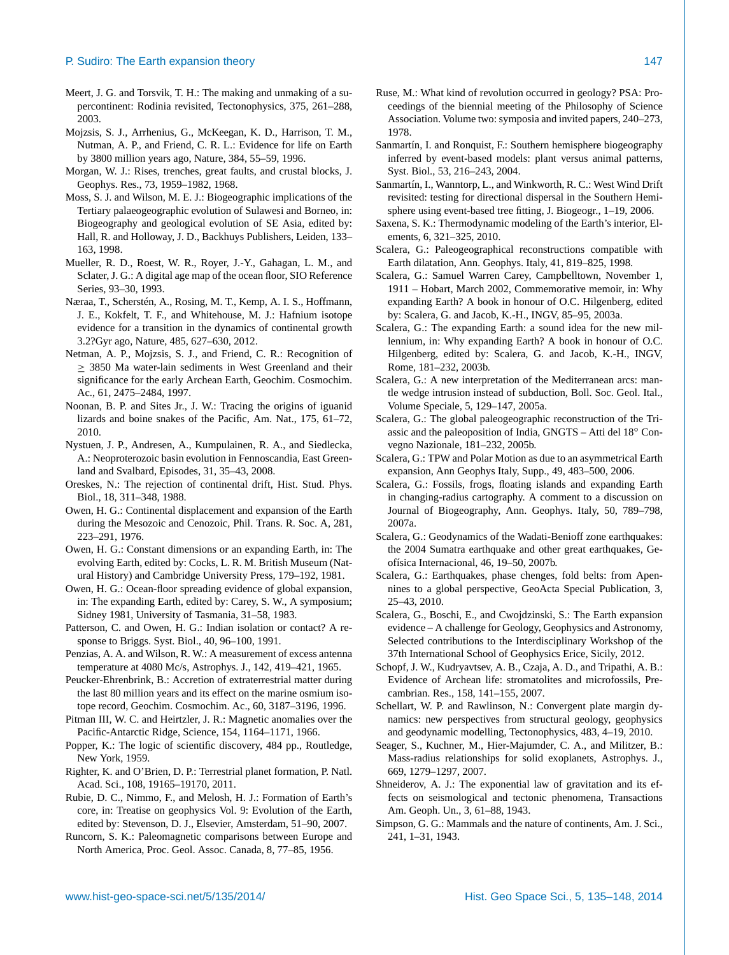- Meert, J. G. and Torsvik, T. H.: The making and unmaking of a supercontinent: Rodinia revisited, Tectonophysics, 375, 261–288, 2003.
- Mojzsis, S. J., Arrhenius, G., McKeegan, K. D., Harrison, T. M., Nutman, A. P., and Friend, C. R. L.: Evidence for life on Earth by 3800 million years ago, Nature, 384, 55–59, 1996.
- Morgan, W. J.: Rises, trenches, great faults, and crustal blocks, J. Geophys. Res., 73, 1959–1982, 1968.
- Moss, S. J. and Wilson, M. E. J.: Biogeographic implications of the Tertiary palaeogeographic evolution of Sulawesi and Borneo, in: Biogeography and geological evolution of SE Asia, edited by: Hall, R. and Holloway, J. D., Backhuys Publishers, Leiden, 133– 163, 1998.
- Mueller, R. D., Roest, W. R., Royer, J.-Y., Gahagan, L. M., and Sclater, J. G.: A digital age map of the ocean floor, SIO Reference Series, 93–30, 1993.
- Næraa, T., Scherstén, A., Rosing, M. T., Kemp, A. I. S., Hoffmann, J. E., Kokfelt, T. F., and Whitehouse, M. J.: Hafnium isotope evidence for a transition in the dynamics of continental growth 3.2?Gyr ago, Nature, 485, 627–630, 2012.
- Netman, A. P., Mojzsis, S. J., and Friend, C. R.: Recognition of  $\geq$  3850 Ma water-lain sediments in West Greenland and their significance for the early Archean Earth, Geochim. Cosmochim. Ac., 61, 2475–2484, 1997.
- Noonan, B. P. and Sites Jr., J. W.: Tracing the origins of iguanid lizards and boine snakes of the Pacific, Am. Nat., 175, 61–72, 2010.
- Nystuen, J. P., Andresen, A., Kumpulainen, R. A., and Siedlecka, A.: Neoproterozoic basin evolution in Fennoscandia, East Greenland and Svalbard, Episodes, 31, 35–43, 2008.
- Oreskes, N.: The rejection of continental drift, Hist. Stud. Phys. Biol., 18, 311–348, 1988.
- Owen, H. G.: Continental displacement and expansion of the Earth during the Mesozoic and Cenozoic, Phil. Trans. R. Soc. A, 281, 223–291, 1976.
- Owen, H. G.: Constant dimensions or an expanding Earth, in: The evolving Earth, edited by: Cocks, L. R. M. British Museum (Natural History) and Cambridge University Press, 179–192, 1981.
- Owen, H. G.: Ocean-floor spreading evidence of global expansion, in: The expanding Earth, edited by: Carey, S. W., A symposium; Sidney 1981, University of Tasmania, 31–58, 1983.
- Patterson, C. and Owen, H. G.: Indian isolation or contact? A response to Briggs. Syst. Biol., 40, 96–100, 1991.
- Penzias, A. A. and Wilson, R. W.: A measurement of excess antenna temperature at 4080 Mc/s, Astrophys. J., 142, 419–421, 1965.
- Peucker-Ehrenbrink, B.: Accretion of extraterrestrial matter during the last 80 million years and its effect on the marine osmium isotope record, Geochim. Cosmochim. Ac., 60, 3187–3196, 1996.
- Pitman III, W. C. and Heirtzler, J. R.: Magnetic anomalies over the Pacific-Antarctic Ridge, Science, 154, 1164–1171, 1966.
- Popper, K.: The logic of scientific discovery, 484 pp., Routledge, New York, 1959.
- Righter, K. and O'Brien, D. P.: Terrestrial planet formation, P. Natl. Acad. Sci., 108, 19165–19170, 2011.
- Rubie, D. C., Nimmo, F., and Melosh, H. J.: Formation of Earth's core, in: Treatise on geophysics Vol. 9: Evolution of the Earth, edited by: Stevenson, D. J., Elsevier, Amsterdam, 51–90, 2007.
- Runcorn, S. K.: Paleomagnetic comparisons between Europe and North America, Proc. Geol. Assoc. Canada, 8, 77–85, 1956.
- Ruse, M.: What kind of revolution occurred in geology? PSA: Proceedings of the biennial meeting of the Philosophy of Science Association. Volume two: symposia and invited papers, 240–273, 1978.
- Sanmartín, I. and Ronquist, F.: Southern hemisphere biogeography inferred by event-based models: plant versus animal patterns, Syst. Biol., 53, 216–243, 2004.
- Sanmartín, I., Wanntorp, L., and Winkworth, R. C.: West Wind Drift revisited: testing for directional dispersal in the Southern Hemisphere using event-based tree fitting, J. Biogeogr., 1–19, 2006.
- Saxena, S. K.: Thermodynamic modeling of the Earth's interior, Elements, 6, 321–325, 2010.
- Scalera, G.: Paleogeographical reconstructions compatible with Earth dilatation, Ann. Geophys. Italy, 41, 819–825, 1998.
- Scalera, G.: Samuel Warren Carey, Campbelltown, November 1, 1911 – Hobart, March 2002, Commemorative memoir, in: Why expanding Earth? A book in honour of O.C. Hilgenberg, edited by: Scalera, G. and Jacob, K.-H., INGV, 85–95, 2003a.
- Scalera, G.: The expanding Earth: a sound idea for the new millennium, in: Why expanding Earth? A book in honour of O.C. Hilgenberg, edited by: Scalera, G. and Jacob, K.-H., INGV, Rome, 181–232, 2003b.
- Scalera, G.: A new interpretation of the Mediterranean arcs: mantle wedge intrusion instead of subduction, Boll. Soc. Geol. Ital., Volume Speciale, 5, 129–147, 2005a.
- Scalera, G.: The global paleogeographic reconstruction of the Triassic and the paleoposition of India, GNGTS – Atti del 18◦ Convegno Nazionale, 181–232, 2005b.
- Scalera, G.: TPW and Polar Motion as due to an asymmetrical Earth expansion, Ann Geophys Italy, Supp., 49, 483–500, 2006.
- Scalera, G.: Fossils, frogs, floating islands and expanding Earth in changing-radius cartography. A comment to a discussion on Journal of Biogeography, Ann. Geophys. Italy, 50, 789–798, 2007a.
- Scalera, G.: Geodynamics of the Wadati-Benioff zone earthquakes: the 2004 Sumatra earthquake and other great earthquakes, Geofísica Internacional, 46, 19–50, 2007b.
- Scalera, G.: Earthquakes, phase chenges, fold belts: from Apennines to a global perspective, GeoActa Special Publication, 3, 25–43, 2010.
- Scalera, G., Boschi, E., and Cwojdzinski, S.: The Earth expansion evidence – A challenge for Geology, Geophysics and Astronomy, Selected contributions to the Interdisciplinary Workshop of the 37th International School of Geophysics Erice, Sicily, 2012.
- Schopf, J. W., Kudryavtsev, A. B., Czaja, A. D., and Tripathi, A. B.: Evidence of Archean life: stromatolites and microfossils, Precambrian. Res., 158, 141–155, 2007.
- Schellart, W. P. and Rawlinson, N.: Convergent plate margin dynamics: new perspectives from structural geology, geophysics and geodynamic modelling, Tectonophysics, 483, 4–19, 2010.
- Seager, S., Kuchner, M., Hier-Majumder, C. A., and Militzer, B.: Mass-radius relationships for solid exoplanets, Astrophys. J., 669, 1279–1297, 2007.
- Shneiderov, A. J.: The exponential law of gravitation and its effects on seismological and tectonic phenomena, Transactions Am. Geoph. Un., 3, 61–88, 1943.
- Simpson, G. G.: Mammals and the nature of continents, Am. J. Sci., 241, 1–31, 1943.